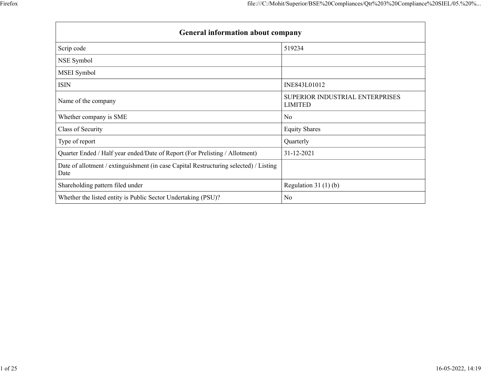|                                                                                               | file:///C:/Mohit/Superior/BSE%20Compliances/Qtr%203%20Compliance%20SIEL/05.%20% |
|-----------------------------------------------------------------------------------------------|---------------------------------------------------------------------------------|
|                                                                                               |                                                                                 |
|                                                                                               |                                                                                 |
|                                                                                               |                                                                                 |
|                                                                                               |                                                                                 |
|                                                                                               |                                                                                 |
|                                                                                               |                                                                                 |
|                                                                                               |                                                                                 |
| General information about company                                                             |                                                                                 |
|                                                                                               | 519234                                                                          |
| Scrip code                                                                                    |                                                                                 |
| NSE Symbol                                                                                    |                                                                                 |
| MSEI Symbol                                                                                   |                                                                                 |
| <b>ISIN</b>                                                                                   | INE843L01012                                                                    |
| Name of the company                                                                           | SUPERIOR INDUSTRIAL ENTERPRISES<br><b>LIMITED</b>                               |
| Whether company is SME                                                                        | No                                                                              |
| Class of Security                                                                             | <b>Equity Shares</b>                                                            |
|                                                                                               | Quarterly                                                                       |
| Type of report                                                                                |                                                                                 |
| Quarter Ended / Half year ended/Date of Report (For Prelisting / Allotment)                   | $31 - 12 - 2021$                                                                |
| Date of allotment / extinguishment (in case Capital Restructuring selected) / Listing<br>Date |                                                                                 |
| Shareholding pattern filed under                                                              | Regulation 31 $(1)(b)$                                                          |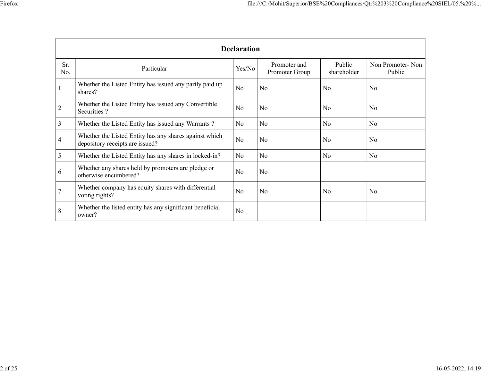|                                                                                              |                                                                                           |                    | file:///C:/Mohit/Superior/BSE%20Compliances/Qtr%203%20Compliance%20SIEL/05.%20% |                       |                            |
|----------------------------------------------------------------------------------------------|-------------------------------------------------------------------------------------------|--------------------|---------------------------------------------------------------------------------|-----------------------|----------------------------|
|                                                                                              |                                                                                           | <b>Declaration</b> |                                                                                 |                       |                            |
| Sr.<br>No.                                                                                   | Particular                                                                                | Yes/No             | Promoter and<br>Promoter Group                                                  | Public<br>shareholder | Non Promoter-Non<br>Public |
|                                                                                              | Whether the Listed Entity has issued any partly paid up<br>shares?                        | No                 | No                                                                              | No                    | No                         |
|                                                                                              |                                                                                           |                    |                                                                                 |                       |                            |
|                                                                                              | Whether the Listed Entity has issued any Convertible<br>Securities ?                      | No                 | No                                                                              | No                    | No                         |
|                                                                                              | Whether the Listed Entity has issued any Warrants?                                        | $\rm No$           | No                                                                              | $\rm No$              | No                         |
|                                                                                              | Whether the Listed Entity has any shares against which<br>depository receipts are issued? | $\rm No$           | $\overline{\text{No}}$                                                          | No                    | No                         |
|                                                                                              | Whether the Listed Entity has any shares in locked-in?                                    | $\rm No$           | No                                                                              | $\rm No$              | No                         |
|                                                                                              | Whether any shares held by promoters are pledge or<br>otherwise encumbered?               | No                 | $\overline{\text{No}}$                                                          |                       |                            |
| $\overline{2}$<br>$\overline{3}$<br>$\overline{4}$<br>$5\overline{)}$<br>6<br>$\overline{7}$ | Whether company has equity shares with differential<br>voting rights?                     | No                 | No                                                                              | $\rm No$              | No                         |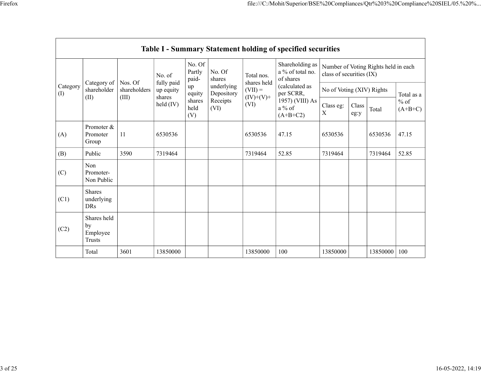|                 |                                         |              |                         |                           |                          |                          | file:///C:/Mohit/Superior/BSE%20Compliances/Qtr%203%20Compliance%20SIEL/05.%20% |                           |                                    |                                      |                     |
|-----------------|-----------------------------------------|--------------|-------------------------|---------------------------|--------------------------|--------------------------|---------------------------------------------------------------------------------|---------------------------|------------------------------------|--------------------------------------|---------------------|
|                 |                                         |              |                         |                           |                          |                          |                                                                                 |                           |                                    |                                      |                     |
|                 |                                         |              |                         |                           |                          |                          |                                                                                 |                           |                                    |                                      |                     |
|                 |                                         |              |                         |                           |                          |                          |                                                                                 |                           |                                    |                                      |                     |
|                 |                                         |              |                         |                           |                          |                          | Table I - Summary Statement holding of specified securities                     |                           |                                    |                                      |                     |
|                 |                                         |              | No. of                  | No. Of<br>Partly<br>paid- | No. Of<br>shares         | Total nos.               | Shareholding as  <br>a $\%$ of total no.<br>of shares                           | class of securities (IX)  |                                    | Number of Voting Rights held in each |                     |
| Category<br>(I) | Category of   Nos. Of<br>shareholder    | shareholders | fully paid<br>up equity | up<br>equity              | underlying<br>Depository | shares held<br>$(VII) =$ | (calculated as<br>per SCRR,                                                     | No of Voting (XIV) Rights |                                    |                                      | Total as a          |
|                 | (II)                                    | (III)        | shares<br>held (IV)     | shares<br>held<br>(V)     | Receipts<br>(VI)         | $(IV)+(V)+$<br>(VI)      | 1957) (VIII) As<br>a % of<br>$(A+B+C2)$                                         | Class eg:<br>$\mathbf X$  | Class<br>$\operatorname{\sf eg:y}$ | Total                                | $%$ of<br>$(A+B+C)$ |
| (A)             | Promoter &<br>Promoter<br>Group         | $11\,$       | 6530536                 |                           |                          | 6530536                  | 47.15                                                                           | 6530536                   |                                    | 6530536                              | 47.15               |
| (B)             | Public                                  | 3590         | 7319464                 |                           |                          | 7319464                  | 52.85                                                                           | 7319464                   |                                    | 7319464                              | 52.85               |
| (C)             | Non<br>Promoter-<br>Non Public          |              |                         |                           |                          |                          |                                                                                 |                           |                                    |                                      |                     |
| (C1)            | Shares<br>underlying<br><b>DRs</b>      |              |                         |                           |                          |                          |                                                                                 |                           |                                    |                                      |                     |
|                 | Shares held<br>by<br>Employee<br>Trusts |              |                         |                           |                          |                          |                                                                                 |                           |                                    |                                      |                     |
| (C2)            |                                         |              | 13850000                |                           |                          | 13850000                 | $100\,$                                                                         | 13850000                  |                                    | 13850000 100                         |                     |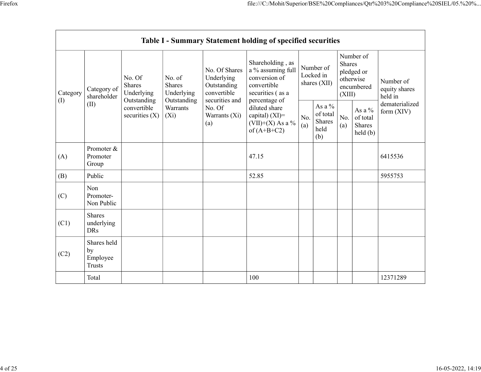|           |                                         |                                                      |                                |                                                           | file:///C:/Mohit/Superior/BSE%20Compliances/Qtr%203%20Compliance%20SIEL/05.%20%<br>Table I - Summary Statement holding of specified securities<br>Shareholding, as |                                                | Shares | Number of                                                                                                                             |                                       |
|-----------|-----------------------------------------|------------------------------------------------------|--------------------------------|-----------------------------------------------------------|--------------------------------------------------------------------------------------------------------------------------------------------------------------------|------------------------------------------------|--------|---------------------------------------------------------------------------------------------------------------------------------------|---------------------------------------|
| Category  | Category of<br>shareholder              | No. Of<br>Shares<br>Underlying                       | No. of<br>Shares<br>Underlying | No. Of Shares<br>Underlying<br>Outstanding<br>convertible | a % assuming full<br>conversion of<br>convertible<br>securities (as a                                                                                              | Number of<br>Locked in<br>shares (XII)         | (XIII) | pledged or<br>otherwise<br>encumbered                                                                                                 | Number of<br>equity shares<br>held in |
| $\rm (I)$ | (II)                                    | Outstanding<br>convertible<br>securities (X) $ (Xi)$ | Outstanding<br>Warrants        | securities and<br>No. Of<br>Warrants (Xi)<br>(a)          | percentage of<br>diluted share<br>capital) (XI)=<br>(VII)+(X) As a %<br>of (A+B+C2)                                                                                | As a $\%$<br>of total<br>Shares<br>held<br>(b) | (a)    | As a $\%$<br>$\begin{array}{ c c c } \hline \text{No.} & \text{of total} \\ \hline \text{(a)} & \text{Shares} \end{array}$<br>held(b) | dematerialized<br>form $(XIV)$        |
| (A)       | Promoter &<br>Promoter<br>Group         |                                                      |                                |                                                           | 47.15                                                                                                                                                              |                                                |        |                                                                                                                                       | 6415536                               |
| (B)       | Public                                  |                                                      |                                |                                                           | 52.85                                                                                                                                                              |                                                |        |                                                                                                                                       | 5955753                               |
| (C)       | Non<br>Promoter-<br>Non Public          |                                                      |                                |                                                           |                                                                                                                                                                    |                                                |        |                                                                                                                                       |                                       |
| (C1)      | Shares<br>underlying<br>DRs             |                                                      |                                |                                                           |                                                                                                                                                                    |                                                |        |                                                                                                                                       |                                       |
| (C2)      | Shares held<br>by<br>Employee<br>Trusts |                                                      |                                |                                                           |                                                                                                                                                                    |                                                |        |                                                                                                                                       |                                       |
|           | Total                                   |                                                      |                                |                                                           | $100\,$                                                                                                                                                            |                                                |        |                                                                                                                                       | 12371289                              |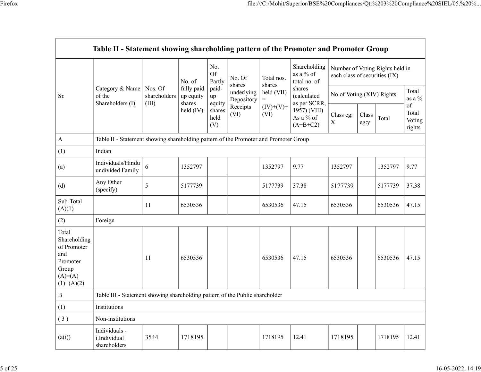|                                                                      |                                                                                      |                                         |                      |                 |                                     |                     |                             |                   | file:///C:/Mohit/Superior/BSE%20Compliances/Qtr%203%20Compliance%20SIEL/05.%20% |                  |
|----------------------------------------------------------------------|--------------------------------------------------------------------------------------|-----------------------------------------|----------------------|-----------------|-------------------------------------|---------------------|-----------------------------|-------------------|---------------------------------------------------------------------------------|------------------|
|                                                                      |                                                                                      |                                         |                      |                 |                                     |                     |                             |                   |                                                                                 |                  |
|                                                                      |                                                                                      |                                         |                      |                 |                                     |                     |                             |                   |                                                                                 |                  |
|                                                                      | Table II - Statement showing shareholding pattern of the Promoter and Promoter Group |                                         |                      |                 |                                     |                     |                             |                   |                                                                                 |                  |
|                                                                      |                                                                                      |                                         |                      | No.             |                                     |                     | Shareholding                |                   | Number of Voting Rights held in                                                 |                  |
|                                                                      |                                                                                      |                                         |                      | <b>Of</b>       | No. Of                              | Total nos.          | as a % of                   |                   | each class of securities (IX)                                                   |                  |
|                                                                      | Category & Name   Nos. Of                                                            |                                         | No. of<br>fully paid | Partly<br>paid- | shares<br>underlying   held $(VII)$ | shares              | total no. of<br>shares      |                   |                                                                                 | Total            |
| Sr.                                                                  | of the<br>Shareholders (I)                                                           | shareholders $\vert$ up equity<br>(III) | shares               | up<br>equity    | Depository                          | $=$                 | (calculated<br>as per SCRR, |                   | No of Voting (XIV) Rights                                                       | as a $\%$        |
|                                                                      |                                                                                      |                                         | held $(IV)$          | shares<br>held  | Receipts<br>(VI)                    | $(IV)+(V)+$<br>(VI) | 1957) (VIII)                | Class eg:   Class |                                                                                 | of<br>Total      |
|                                                                      |                                                                                      |                                         |                      | (V)             |                                     |                     | As a % of<br>(A+B+C2)       | $\mathbf X$       | Total<br>eg:y                                                                   | Voting<br>rights |
| A                                                                    | Table II - Statement showing shareholding pattern of the Promoter and Promoter Group |                                         |                      |                 |                                     |                     |                             |                   |                                                                                 |                  |
| (1)                                                                  | Indian                                                                               |                                         |                      |                 |                                     |                     |                             |                   |                                                                                 |                  |
| (a)                                                                  | Individuals/Hindu<br>undivided Family $\Big 6\Big $                                  |                                         | 1352797              |                 |                                     | 1352797             | 9.77                        | 1352797           | 1352797                                                                         | 9.77             |
| (d)                                                                  | Any Other<br>(specify)                                                               | $5\overline{)}$                         | 5177739              |                 |                                     | 5177739             | 37.38                       | 5177739           | 5177739                                                                         | 37.38            |
| Sub-Total                                                            |                                                                                      | 11                                      | 6530536              |                 |                                     | 6530536             | 47.15                       | 6530536           | 6530536                                                                         | 47.15            |
| (A)(1)<br>(2)                                                        | Foreign                                                                              |                                         |                      |                 |                                     |                     |                             |                   |                                                                                 |                  |
| Total                                                                |                                                                                      |                                         |                      |                 |                                     |                     |                             |                   |                                                                                 |                  |
| Shareholding<br>of Promoter<br>and<br>Promoter<br>Group<br>$(A)=(A)$ |                                                                                      | 11                                      | 6530536              |                 |                                     | 6530536             | 47.15                       | 6530536           | 6530536                                                                         | 47.15            |
| $(1)+(A)(2)$<br>$\, {\bf B}$                                         | Table III - Statement showing shareholding pattern of the Public shareholder         |                                         |                      |                 |                                     |                     |                             |                   |                                                                                 |                  |
| (1)                                                                  | Institutions                                                                         |                                         |                      |                 |                                     |                     |                             |                   |                                                                                 |                  |
| (3)                                                                  | Non-institutions                                                                     |                                         |                      |                 |                                     |                     |                             |                   |                                                                                 |                  |
|                                                                      | Individuals -<br>i.Individual<br>shareholders                                        | 3544                                    | 1718195              |                 |                                     | 1718195             | 12.41                       | 1718195           | 1718195                                                                         | 12.41            |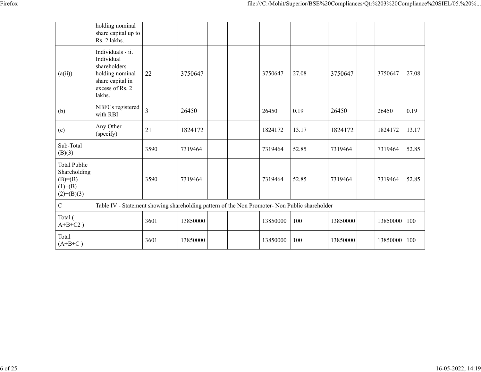| ۰<br>- |  |
|--------|--|
|        |  |

|                                                                         |                                                                                                                     |        |                                                                                               |                |       | file:///C:/Mohit/Superior/BSE%20Compliances/Qtr%203%20Compliance%20SIEL/05.%20% |                |       |  |
|-------------------------------------------------------------------------|---------------------------------------------------------------------------------------------------------------------|--------|-----------------------------------------------------------------------------------------------|----------------|-------|---------------------------------------------------------------------------------|----------------|-------|--|
|                                                                         | holding nominal<br>share capital up to<br>Rs. 2 lakhs.                                                              |        |                                                                                               |                |       |                                                                                 |                |       |  |
| (a(ii))                                                                 | Individuals - ii.<br>Individual<br>shareholders<br>holding nominal<br>share capital in<br>excess of Rs. 2<br>lakhs. | 22     | 3750647                                                                                       | 3750647        | 27.08 | 3750647                                                                         | 3750647        | 27.08 |  |
| (b)                                                                     | NBFCs registered<br>with RBI                                                                                        | 3      | 26450                                                                                         | 26450          | 0.19  | 26450                                                                           | 26450          | 0.19  |  |
| (e)                                                                     | Any Other<br>(specify)                                                                                              | $21\,$ | 1824172                                                                                       | 1824172        | 13.17 | 1824172                                                                         | 1824172        | 13.17 |  |
| Sub-Total<br>(B)(3)                                                     |                                                                                                                     | 3590   | 7319464                                                                                       | 7319464        | 52.85 | 7319464                                                                         | 7319464        | 52.85 |  |
| Total Public<br>Shareholding<br>$(B)= (B)$<br>$(1)+(B)$<br>$(2)+(B)(3)$ |                                                                                                                     | 3590   | 7319464                                                                                       | 7319464        | 52.85 | 7319464                                                                         | 7319464        | 52.85 |  |
| $\mathbf C$                                                             |                                                                                                                     |        | Table IV - Statement showing shareholding pattern of the Non Promoter- Non Public shareholder |                |       |                                                                                 |                |       |  |
| Total (<br>$A+B+C2$ )                                                   |                                                                                                                     | 3601   | 13850000                                                                                      | 13850000   100 |       | 13850000                                                                        | 13850000 100   |       |  |
| Total<br>$(A+B+C)$                                                      |                                                                                                                     | 3601   | 13850000                                                                                      | 13850000   100 |       | 13850000                                                                        | 13850000   100 |       |  |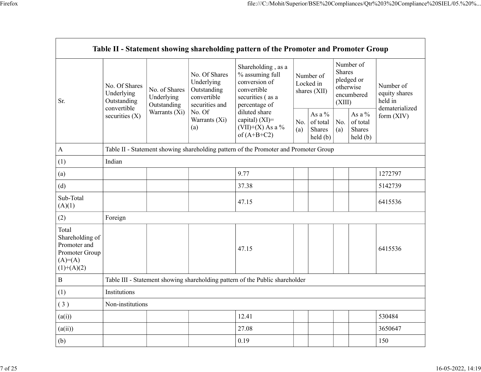|                                                                                         |                                            |                                            |                                                                             | Table II - Statement showing shareholding pattern of the Promoter and Promoter Group                       |     |                                                             |                  |                                                            |                                       |
|-----------------------------------------------------------------------------------------|--------------------------------------------|--------------------------------------------|-----------------------------------------------------------------------------|------------------------------------------------------------------------------------------------------------|-----|-------------------------------------------------------------|------------------|------------------------------------------------------------|---------------------------------------|
| Sr.                                                                                     | No. Of Shares<br>Underlying<br>Outstanding | No. of Shares<br>Underlying<br>Outstanding | No. Of Shares<br>Underlying<br>Outstanding<br>convertible<br>securities and | Shareholding, as a<br>% assuming full<br>conversion of<br>convertible<br>securities (as a<br>percentage of |     | Number of<br>Locked in<br>shares (XII)                      | Shares<br>(XIII) | Number of<br>pledged or<br>otherwise<br>encumbered         | Number of<br>equity shares<br>held in |
|                                                                                         | convertible<br>securities (X)              | Warrants $(X_i)$   No. Of                  | Warrants (Xi)<br>(a)                                                        | diluted share<br>capital) (XI)=<br>$(VII)+(X)$ As a %<br>of $(A+B+C2)$                                     | (a) | As a $\%$<br>No. of total $\vert$ No.<br>Shares<br>held (b) | (a)              | As a $\%$<br>of total<br>Shares<br>$\text{held}(\text{b})$ | dematerialized<br>form (XIV)          |
| $\bf{A}$                                                                                |                                            |                                            |                                                                             | Table II - Statement showing shareholding pattern of the Promoter and Promoter Group                       |     |                                                             |                  |                                                            |                                       |
| (1)                                                                                     | Indian                                     |                                            |                                                                             |                                                                                                            |     |                                                             |                  |                                                            |                                       |
| (a)                                                                                     |                                            |                                            |                                                                             | 9.77                                                                                                       |     |                                                             |                  |                                                            | 1272797                               |
| (d)                                                                                     |                                            |                                            |                                                                             | 37.38                                                                                                      |     |                                                             |                  |                                                            | 5142739                               |
| Sub-Total<br>(A)(1)                                                                     |                                            |                                            |                                                                             | 47.15                                                                                                      |     |                                                             |                  |                                                            | 6415536                               |
| (2)                                                                                     | Foreign                                    |                                            |                                                                             |                                                                                                            |     |                                                             |                  |                                                            |                                       |
| Total<br>Shareholding of<br>Promoter and<br>Promoter Group<br>$(A)=(A)$<br>$(1)+(A)(2)$ |                                            |                                            |                                                                             | 47.15                                                                                                      |     |                                                             |                  |                                                            | 6415536                               |
| $\, {\bf B}$                                                                            |                                            |                                            |                                                                             | Table III - Statement showing shareholding pattern of the Public shareholder                               |     |                                                             |                  |                                                            |                                       |
| (1)                                                                                     | Institutions                               |                                            |                                                                             |                                                                                                            |     |                                                             |                  |                                                            |                                       |
| (3)                                                                                     | Non-institutions                           |                                            |                                                                             |                                                                                                            |     |                                                             |                  |                                                            |                                       |
| (a(i))                                                                                  |                                            |                                            |                                                                             | 12.41                                                                                                      |     |                                                             |                  |                                                            | 530484                                |
| (a(ii))                                                                                 |                                            |                                            |                                                                             | 27.08                                                                                                      |     |                                                             |                  |                                                            | 3650647                               |
| (b)                                                                                     |                                            |                                            |                                                                             | 0.19                                                                                                       |     |                                                             |                  |                                                            | 150                                   |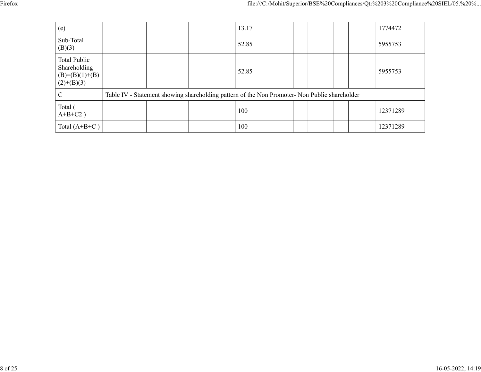|                                                |                                                                                               | file:///C:/Mohit/Superior/BSE%20Compliances/Qtr%203%20Compliance%20SIEL/05.%20% |  |
|------------------------------------------------|-----------------------------------------------------------------------------------------------|---------------------------------------------------------------------------------|--|
|                                                |                                                                                               |                                                                                 |  |
| (e)                                            |                                                                                               |                                                                                 |  |
|                                                | 13.17                                                                                         | 1774472                                                                         |  |
| Sub-Total<br>(B)(3)                            | 52.85                                                                                         | 5955753                                                                         |  |
| Total Public<br>Shareholding<br>(B)=(B)(1)+(B) | 52.85                                                                                         | 5955753                                                                         |  |
| $(2)+(B)(3)$<br>$\mathbf C$                    | Table IV - Statement showing shareholding pattern of the Non Promoter- Non Public shareholder |                                                                                 |  |
| Total (<br>$A+B+C2$ )                          | 100                                                                                           | 12371289                                                                        |  |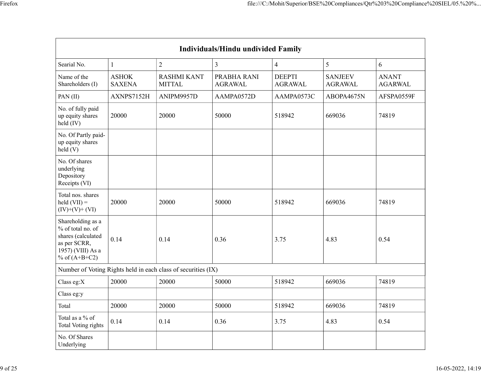|                                                                                                                      |                               |                                                               |                                    | file:///C:/Mohit/Superior/BSE%20Compliances/Qtr%203%20Compliance%20SIEL/05.%20% |                |                   |
|----------------------------------------------------------------------------------------------------------------------|-------------------------------|---------------------------------------------------------------|------------------------------------|---------------------------------------------------------------------------------|----------------|-------------------|
|                                                                                                                      |                               |                                                               |                                    |                                                                                 |                |                   |
|                                                                                                                      |                               |                                                               |                                    |                                                                                 |                |                   |
|                                                                                                                      |                               |                                                               |                                    |                                                                                 |                |                   |
|                                                                                                                      |                               |                                                               |                                    |                                                                                 |                |                   |
|                                                                                                                      |                               |                                                               | Individuals/Hindu undivided Family |                                                                                 |                |                   |
|                                                                                                                      |                               |                                                               |                                    |                                                                                 | $\mathfrak{S}$ |                   |
| Searial No.<br>Name of the                                                                                           | $\mathbf{1}$<br>${\rm ASHOK}$ | $\overline{2}$<br><b>RASHMI KANT</b>                          | $\mathfrak{Z}$<br>PRABHA RANI      | $\overline{4}$<br><b>DEEPTI</b>                                                 | <b>SANJEEV</b> | 6<br><b>ANANT</b> |
| Shareholders (I)                                                                                                     | <b>SAXENA</b>                 | <b>MITTAL</b>                                                 | <b>AGRAWAL</b>                     | AGRAWAL                                                                         | <b>AGRAWAL</b> | AGARWAL           |
| PAN $(II)$                                                                                                           | AXNPS7152H                    | ANIPM9957D                                                    | AAMPA0572D                         | AAMPA0573C                                                                      | ABOPA4675N     | AFSPA0559F        |
| No. of fully paid<br>up equity shares<br>held (IV)                                                                   | 20000                         | 20000                                                         | 50000                              | 518942                                                                          | 669036         | 74819             |
| No. Of Partly paid-<br>up equity shares<br>held(V)                                                                   |                               |                                                               |                                    |                                                                                 |                |                   |
| No. Of shares<br>underlying<br>Depository<br>Receipts (VI)                                                           |                               |                                                               |                                    |                                                                                 |                |                   |
| Total nos. shares<br>$\text{held (VII)} =$<br>$(IV)+(V)+(VI)$                                                        | 20000                         | 20000                                                         | 50000                              | 518942                                                                          | 669036         | 74819             |
| Shareholding as a<br>% of total no. of<br>shares (calculated<br>as per SCRR,<br>1957) (VIII) As a<br>% of $(A+B+C2)$ | 0.14                          | 0.14                                                          | 0.36                               | 3.75                                                                            | 4.83           | 0.54              |
|                                                                                                                      |                               | Number of Voting Rights held in each class of securities (IX) |                                    |                                                                                 |                |                   |
| Class eg:X                                                                                                           | 20000                         | 20000                                                         | 50000                              | 518942                                                                          | 669036         | 74819             |
| Class eg:y                                                                                                           |                               |                                                               |                                    |                                                                                 |                |                   |
| Total                                                                                                                | 20000                         | 20000                                                         | 50000                              | 518942                                                                          | 669036         | 74819             |
| Total as a $\%$ of<br>Total Voting rights                                                                            | 0.14                          | 0.14                                                          | 0.36                               | 3.75                                                                            | 4.83           | 0.54              |
| No. Of Shares<br>Underlying                                                                                          |                               |                                                               |                                    |                                                                                 |                |                   |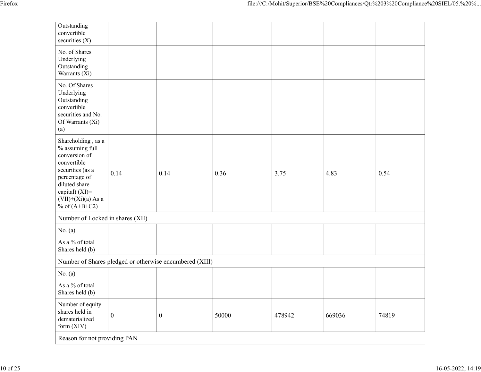|                                                                                                                                                                          |                                                         |                  |       | file:///C:/Mohit/Superior/BSE%20Compliances/Qtr%203%20Compliance%20SIEL/05.%20% |        |       |  |
|--------------------------------------------------------------------------------------------------------------------------------------------------------------------------|---------------------------------------------------------|------------------|-------|---------------------------------------------------------------------------------|--------|-------|--|
| Outstanding<br>convertible<br>securities $(X)$                                                                                                                           |                                                         |                  |       |                                                                                 |        |       |  |
| No. of Shares<br>Underlying<br>Outstanding<br>Warrants (Xi)                                                                                                              |                                                         |                  |       |                                                                                 |        |       |  |
| No. Of Shares<br>Underlying<br>Outstanding<br>convertible<br>securities and No.<br>Of Warrants (Xi)<br>(a)                                                               |                                                         |                  |       |                                                                                 |        |       |  |
| Shareholding , as a<br>$%$ assuming full<br>conversion of<br>convertible<br>securities (as a<br>percentage of<br>diluted share<br>capital) (XI)=<br>$(VII)+(Xi)(a)$ As a | 0.14                                                    | 0.14             | 0.36  | 3.75                                                                            | 4.83   | 0.54  |  |
| % of $(A+B+C2)$                                                                                                                                                          |                                                         |                  |       |                                                                                 |        |       |  |
| Number of Locked in shares (XII)<br>No. $(a)$                                                                                                                            |                                                         |                  |       |                                                                                 |        |       |  |
| As a $\%$ of total<br>Shares held (b)                                                                                                                                    |                                                         |                  |       |                                                                                 |        |       |  |
|                                                                                                                                                                          | Number of Shares pledged or otherwise encumbered (XIII) |                  |       |                                                                                 |        |       |  |
| No. $(a)$                                                                                                                                                                |                                                         |                  |       |                                                                                 |        |       |  |
| As a % of total<br>Shares held (b)                                                                                                                                       |                                                         |                  |       |                                                                                 |        |       |  |
| Number of equity<br>shares held in<br>dematerialized<br>form (XIV)                                                                                                       | $\mathbf{0}$                                            | $\boldsymbol{0}$ | 50000 | 478942                                                                          | 669036 | 74819 |  |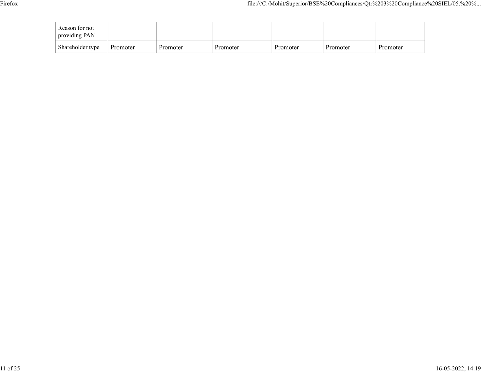|                                 |  | file:///C:/Mohit/Superior/BSE%20Compliances/Qtr%203%20Compliance%20SIEL/05.%20% |  |  |
|---------------------------------|--|---------------------------------------------------------------------------------|--|--|
| Reason for not<br>providing PAN |  |                                                                                 |  |  |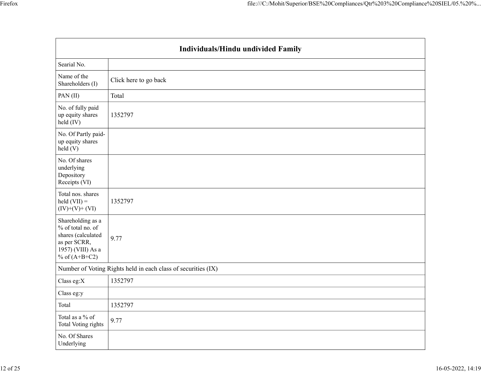|                                                                                                                      | Individuals/Hindu undivided Family                            |  |
|----------------------------------------------------------------------------------------------------------------------|---------------------------------------------------------------|--|
| Searial No.                                                                                                          |                                                               |  |
| Name of the<br>Shareholders (I)                                                                                      | Click here to go back                                         |  |
| PAN(II)                                                                                                              | Total                                                         |  |
| No. of fully paid<br>up equity shares<br>held (IV)                                                                   | 1352797                                                       |  |
| No. Of Partly paid-<br>up equity shares<br>held (V)                                                                  |                                                               |  |
| No. Of shares<br>underlying<br>Depository<br>Receipts (VI)                                                           |                                                               |  |
| Total nos. shares<br>$\text{held (VII)} =$<br>$(IV)+(V)+(VI)$                                                        | 1352797                                                       |  |
| Shareholding as a<br>% of total no. of<br>shares (calculated<br>as per SCRR,<br>1957) (VIII) As a<br>% of $(A+B+C2)$ | 9.77                                                          |  |
|                                                                                                                      | Number of Voting Rights held in each class of securities (IX) |  |
| Class eg: $X$                                                                                                        | 1352797                                                       |  |
| Class eg:y                                                                                                           |                                                               |  |
| Total                                                                                                                | 1352797                                                       |  |
| Total as a $\%$ of<br>Total Voting rights                                                                            | 9.77                                                          |  |
| No. Of Shares<br>Underlying                                                                                          |                                                               |  |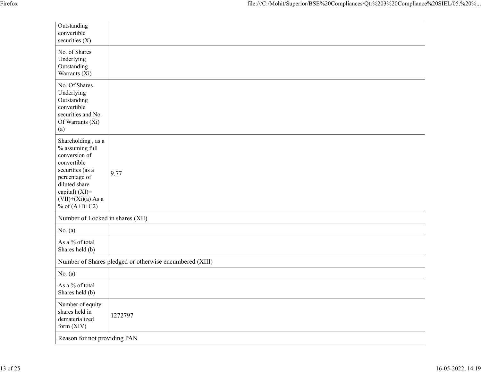| Firefox |                                                                                                                                                                                           | file:///C:/Mohit/Superior/BSE%20Compliances/Qtr%203%20Compliance%20SIEL/05.%20% |
|---------|-------------------------------------------------------------------------------------------------------------------------------------------------------------------------------------------|---------------------------------------------------------------------------------|
|         | Outstanding<br>convertible<br>securities (X)                                                                                                                                              |                                                                                 |
|         | No. of Shares<br>Underlying<br>Outstanding<br>Warrants (Xi)                                                                                                                               |                                                                                 |
|         | No. Of Shares<br>Underlying<br>Outstanding<br>convertible<br>securities and No.<br>Of Warrants (Xi)<br>(a)                                                                                |                                                                                 |
|         | Shareholding , as a<br>% assuming full<br>conversion of<br>convertible<br>securities (as a<br>percentage of<br>diluted share<br>capital) (XI)=<br>$(VII)+(Xi)(a)$ As a<br>% of $(A+B+C2)$ | 9.77                                                                            |
|         | Number of Locked in shares (XII)                                                                                                                                                          |                                                                                 |
|         | No. $(a)$                                                                                                                                                                                 |                                                                                 |
|         | As a $\%$ of total<br>Shares held (b)                                                                                                                                                     |                                                                                 |
|         |                                                                                                                                                                                           | Number of Shares pledged or otherwise encumbered (XIII)                         |
|         | No. $(a)$                                                                                                                                                                                 |                                                                                 |
|         | As a % of total<br>Shares held (b)                                                                                                                                                        |                                                                                 |
|         | Number of equity<br>shares held in<br>dematerialized<br>form (XIV)                                                                                                                        | 1272797                                                                         |
|         | Reason for not providing PAN                                                                                                                                                              |                                                                                 |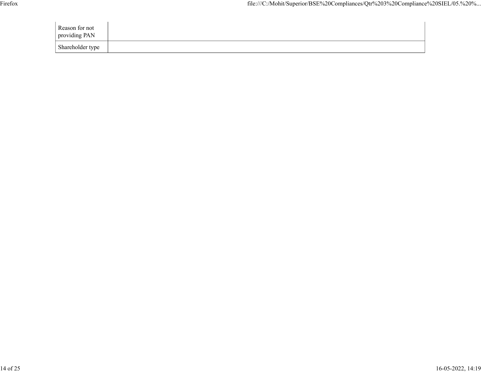| Firefox |                                 |  |  |  |  | file:///C:/Mohit/Superior/BSE%20Compliances/Qtr%203%20Compliance%20SIEL/05.%20% |  |
|---------|---------------------------------|--|--|--|--|---------------------------------------------------------------------------------|--|
|         | Reason for not<br>providing PAN |  |  |  |  |                                                                                 |  |
|         | Shareholder type                |  |  |  |  |                                                                                 |  |
|         |                                 |  |  |  |  |                                                                                 |  |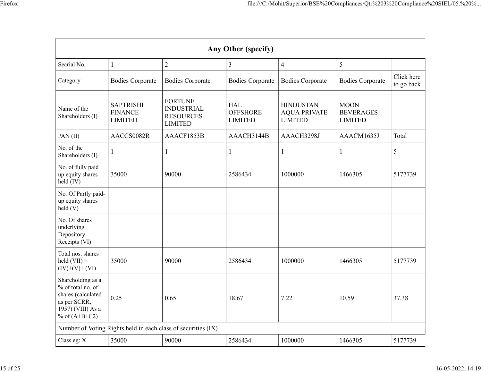|                                                                                                                      |                                                      |                                                                           |                                   |                                                    | file:///C:/Mohit/Superior/BSE%20Compliances/Qtr%203%20Compliance%20SIEL/05.%20% |                          |
|----------------------------------------------------------------------------------------------------------------------|------------------------------------------------------|---------------------------------------------------------------------------|-----------------------------------|----------------------------------------------------|---------------------------------------------------------------------------------|--------------------------|
|                                                                                                                      |                                                      |                                                                           |                                   |                                                    |                                                                                 |                          |
|                                                                                                                      |                                                      |                                                                           |                                   |                                                    |                                                                                 |                          |
|                                                                                                                      |                                                      |                                                                           | Any Other (specify)               |                                                    |                                                                                 |                          |
| Searial No.                                                                                                          |                                                      | $\overline{2}$                                                            | $\mathfrak{Z}$                    | $\overline{4}$                                     | 5                                                                               |                          |
| Category                                                                                                             | <b>Bodies Corporate</b>                              | <b>Bodies Corporate</b>                                                   | <b>Bodies Corporate</b>           | <b>Bodies Corporate</b>                            | <b>Bodies Corporate</b>                                                         | Click here<br>to go back |
| Name of the<br>Shareholders (I)                                                                                      | <b>SAPTRISHI</b><br><b>FINANCE</b><br><b>LIMITED</b> | <b>FORTUNE</b><br><b>INDUSTRIAL</b><br><b>RESOURCES</b><br><b>LIMITED</b> | HAL<br><b>OFFSHORE</b><br>LIMITED | <b>HINDUSTAN</b><br><b>AQUA PRIVATE</b><br>LIMITED | <b>MOON</b><br><b>BEVERAGES</b><br><b>LIMITED</b>                               |                          |
| PAN $(II)$                                                                                                           | AACCS0082R                                           | AAACF1853B                                                                | AAACH3144B                        | AAACH3298J                                         | AAACM1635J                                                                      | Total                    |
| No. of the<br>Shareholders (I)                                                                                       |                                                      |                                                                           |                                   |                                                    |                                                                                 | $5\overline{)}$          |
| No. of fully paid<br>up equity shares<br>$held$ (IV)                                                                 | 35000                                                | 90000                                                                     | 2586434                           | 1000000                                            | 1466305                                                                         | 5177739                  |
| No. Of Partly paid-<br>up equity shares<br>held(V)                                                                   |                                                      |                                                                           |                                   |                                                    |                                                                                 |                          |
| No. Of shares<br>underlying<br>Depository<br>Receipts (VI)                                                           |                                                      |                                                                           |                                   |                                                    |                                                                                 |                          |
| Total nos. shares<br>$\text{held (VII)} =$<br>$(IV)+(V)+(VI)$                                                        | 35000                                                | 90000                                                                     | 2586434                           | 1000000                                            | 1466305                                                                         | 5177739                  |
| Shareholding as a<br>% of total no. of<br>shares (calculated<br>as per SCRR,<br>1957) (VIII) As a<br>% of $(A+B+C2)$ | $\vert$ 0.25                                         | 0.65                                                                      | 18.67                             | 7.22                                               | 10.59                                                                           | 37.38                    |
|                                                                                                                      |                                                      | Number of Voting Rights held in each class of securities (IX)             |                                   |                                                    |                                                                                 |                          |
| Class eg: X                                                                                                          | 35000                                                | 90000                                                                     | 2586434                           | 1000000                                            | 1466305                                                                         |                          |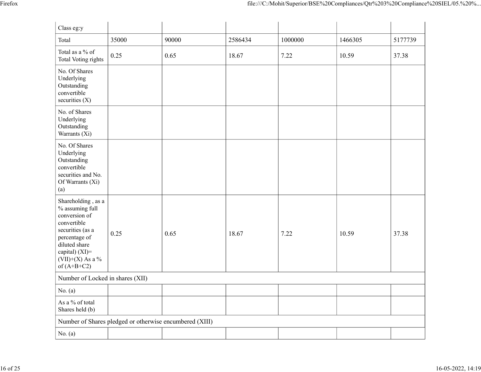|                                                                                                            |                    |                                                         |         | file:///C:/Mohit/Superior/BSE%20Compliances/Qtr%203%20Compliance%20SIEL/05.%20% |         |         |
|------------------------------------------------------------------------------------------------------------|--------------------|---------------------------------------------------------|---------|---------------------------------------------------------------------------------|---------|---------|
|                                                                                                            |                    |                                                         |         |                                                                                 |         |         |
| Class eg:y                                                                                                 |                    |                                                         |         |                                                                                 |         |         |
| Total                                                                                                      | 35000              | 90000                                                   | 2586434 | 1000000                                                                         | 1466305 | 5177739 |
| Total as a $\%$ of<br>Total Voting rights                                                                  | 0.25               | 0.65                                                    | 18.67   | 7.22                                                                            | 10.59   | 37.38   |
| No. Of Shares<br>Underlying<br>Outstanding<br>convertible                                                  |                    |                                                         |         |                                                                                 |         |         |
| securities $(X)$<br>No. of Shares                                                                          |                    |                                                         |         |                                                                                 |         |         |
| Underlying<br>Outstanding<br>Warrants (Xi)                                                                 |                    |                                                         |         |                                                                                 |         |         |
| No. Of Shares<br>Underlying<br>Outstanding<br>convertible<br>securities and No.<br>Of Warrants (Xi)<br>(a) |                    |                                                         |         |                                                                                 |         |         |
| Shareholding, as a<br>$\%$ assuming full<br>conversion of<br>convertible<br>securities (as a               | $\vert 0.25 \vert$ | 0.65                                                    | 18.67   | 7.22                                                                            | 10.59   | 37.38   |
| percentage of<br>diluted share<br>capital) (XI)=<br>(VII)+(X) As a $\%$<br>of $(A+B+C2)$                   |                    |                                                         |         |                                                                                 |         |         |
| Number of Locked in shares (XII)                                                                           |                    |                                                         |         |                                                                                 |         |         |
| No. $(a)$                                                                                                  |                    |                                                         |         |                                                                                 |         |         |
| As a $\%$ of total<br>Shares held (b)                                                                      |                    |                                                         |         |                                                                                 |         |         |
|                                                                                                            |                    | Number of Shares pledged or otherwise encumbered (XIII) |         |                                                                                 |         |         |
| No. $(a)$                                                                                                  |                    |                                                         |         |                                                                                 |         |         |
|                                                                                                            |                    |                                                         |         |                                                                                 |         |         |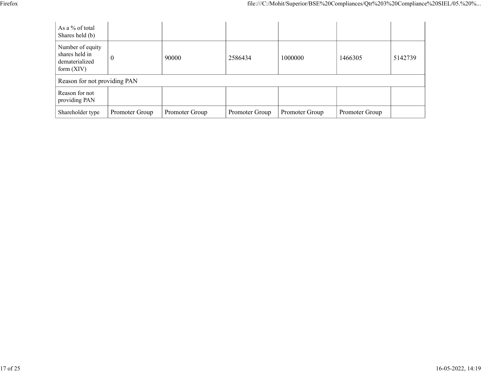|                                                                    |                  |       |         |         | file:///C:/Mohit/Superior/BSE%20Compliances/Qtr%203%20Compliance%20SIEL/05.%20% |         |
|--------------------------------------------------------------------|------------------|-------|---------|---------|---------------------------------------------------------------------------------|---------|
| As a % of total<br>Shares held (b)                                 |                  |       |         |         |                                                                                 |         |
| Number of equity<br>shares held in<br>dematerialized<br>form (XIV) | $\boldsymbol{0}$ | 90000 | 2586434 | 1000000 | 1466305                                                                         | 5142739 |
| Reason for not providing PAN                                       |                  |       |         |         |                                                                                 |         |
| Reason for not<br>providing PAN                                    |                  |       |         |         |                                                                                 |         |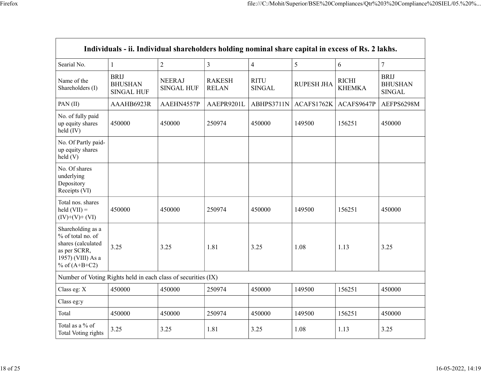|                                                                                                                      |                                                                                                   |                                    |                               | file:///C:/Mohit/Superior/BSE%20Compliances/Qtr%203%20Compliance%20SIEL/05.%20% |                                      |                               |                                                |
|----------------------------------------------------------------------------------------------------------------------|---------------------------------------------------------------------------------------------------|------------------------------------|-------------------------------|---------------------------------------------------------------------------------|--------------------------------------|-------------------------------|------------------------------------------------|
|                                                                                                                      |                                                                                                   |                                    |                               |                                                                                 |                                      |                               |                                                |
|                                                                                                                      |                                                                                                   |                                    |                               |                                                                                 |                                      |                               |                                                |
|                                                                                                                      |                                                                                                   |                                    |                               |                                                                                 |                                      |                               |                                                |
|                                                                                                                      | Individuals - ii. Individual shareholders holding nominal share capital in excess of Rs. 2 lakhs. |                                    |                               |                                                                                 |                                      |                               |                                                |
| Searial No.                                                                                                          | $\mathbf{1}$                                                                                      | $\overline{2}$                     | $\mathfrak{Z}$                | $\overline{4}$                                                                  | $5\overline{)}$                      | 6                             | $\overline{7}$                                 |
| Name of the<br>Shareholders (I)                                                                                      | <b>BRIJ</b><br><b>BHUSHAN</b><br><b>SINGAL HUF</b>                                                | <b>NEERAJ</b><br><b>SINGAL HUF</b> | <b>RAKESH</b><br><b>RELAN</b> | RITU<br>SINGAL                                                                  | <b>RUPESH JHA</b>                    | <b>RICHI</b><br><b>KHEMKA</b> | <b>BRIJ</b><br><b>BHUSHAN</b><br><b>SINGAL</b> |
| PAN(II)                                                                                                              | AAAHB6923R                                                                                        | AAEHN4557P                         | AAEPR9201L                    |                                                                                 | ABHPS3711N   ACAFS1762K   ACAFS9647P |                               | AEFPS6298M                                     |
| No. of fully paid<br>up equity shares<br>$held$ (IV)                                                                 | 450000                                                                                            | 450000                             | 250974                        | 450000                                                                          | 149500                               | 156251                        | 450000                                         |
| No. Of Partly paid-<br>up equity shares<br>held(V)                                                                   |                                                                                                   |                                    |                               |                                                                                 |                                      |                               |                                                |
| No. Of shares<br>underlying<br>Depository<br>Receipts (VI)                                                           |                                                                                                   |                                    |                               |                                                                                 |                                      |                               |                                                |
| Total nos. shares<br>$\text{held (VII)} =$<br>$(IV)+(V)+(VI)$                                                        | 450000                                                                                            | 450000                             | 250974                        | 450000                                                                          | 149500                               | 156251                        | 450000                                         |
| Shareholding as a<br>% of total no. of<br>shares (calculated<br>as per SCRR,<br>1957) (VIII) As a<br>% of $(A+B+C2)$ | 3.25                                                                                              | 3.25                               | 1.81                          | 3.25                                                                            | 1.08                                 | 1.13                          | 3.25                                           |
| Number of Voting Rights held in each class of securities (IX)                                                        |                                                                                                   |                                    |                               |                                                                                 |                                      |                               |                                                |
| Class eg: X                                                                                                          | 450000                                                                                            | 450000                             | 250974                        | 450000                                                                          | 149500                               | 156251                        | 450000                                         |
| Class eg:y                                                                                                           |                                                                                                   |                                    |                               |                                                                                 |                                      |                               |                                                |
| Total                                                                                                                | 450000                                                                                            | 450000                             | 250974                        | 450000                                                                          | 149500                               | 156251                        | 450000                                         |
| Total as a $\%$ of                                                                                                   | 3.25                                                                                              | 3.25                               | 1.81                          | 3.25                                                                            | 1.08                                 | 1.13                          | 3.25                                           |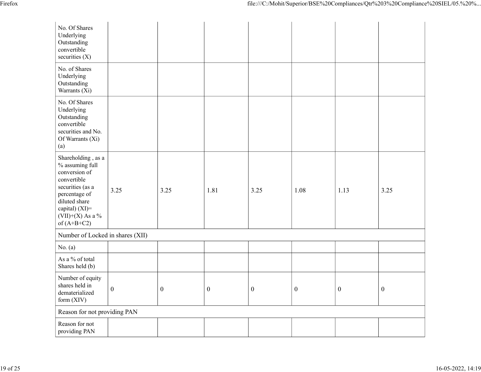|                                                                                                                                                                                         |                  |                  |                  |          |                  |          | file:///C:/Mohit/Superior/BSE%20Compliances/Qtr%203%20Compliance%20SIEL/05.%20% |
|-----------------------------------------------------------------------------------------------------------------------------------------------------------------------------------------|------------------|------------------|------------------|----------|------------------|----------|---------------------------------------------------------------------------------|
| No. Of Shares<br>Underlying<br>Outstanding<br>convertible<br>securities $(X)$                                                                                                           |                  |                  |                  |          |                  |          |                                                                                 |
| No. of Shares<br>Underlying<br>Outstanding<br>Warrants (Xi)                                                                                                                             |                  |                  |                  |          |                  |          |                                                                                 |
| No. Of Shares<br>Underlying<br>Outstanding<br>convertible<br>securities and No.<br>Of Warrants (Xi)<br>(a)                                                                              |                  |                  |                  |          |                  |          |                                                                                 |
| Shareholding, as a<br>$\%$ assuming full<br>conversion of<br>convertible<br>securities (as a<br>percentage of<br>diluted share<br>capital) (XI)=<br>$(VII)+(X)$ As a %<br>of $(A+B+C2)$ | 3.25             | 3.25             | 1.81             | 3.25     | 1.08             | 1.13     | 3.25                                                                            |
| Number of Locked in shares (XII)<br>No. $(a)$                                                                                                                                           |                  |                  |                  |          |                  |          |                                                                                 |
| As a % of total<br>Shares held (b)                                                                                                                                                      |                  |                  |                  |          |                  |          |                                                                                 |
| Number of equity<br>shares held in<br>dematerialized<br>form (XIV)                                                                                                                      | $\boldsymbol{0}$ | $\boldsymbol{0}$ | $\boldsymbol{0}$ | $\bf{0}$ | $\boldsymbol{0}$ | $\bf{0}$ | $\boldsymbol{0}$                                                                |
| Reason for not providing PAN                                                                                                                                                            |                  |                  |                  |          |                  |          |                                                                                 |
| Reason for not<br>providing PAN                                                                                                                                                         |                  |                  |                  |          |                  |          |                                                                                 |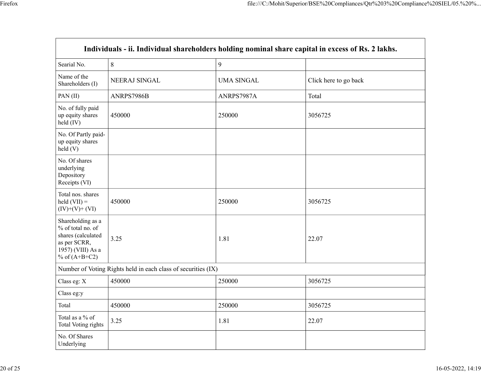|                                                                                                                      |                                                               |                   | file:///C:/Mohit/Superior/BSE%20Compliances/Qtr%203%20Compliance%20SIEL/05.%20%                   |
|----------------------------------------------------------------------------------------------------------------------|---------------------------------------------------------------|-------------------|---------------------------------------------------------------------------------------------------|
|                                                                                                                      |                                                               |                   |                                                                                                   |
|                                                                                                                      |                                                               |                   |                                                                                                   |
|                                                                                                                      |                                                               |                   |                                                                                                   |
|                                                                                                                      |                                                               |                   |                                                                                                   |
|                                                                                                                      |                                                               |                   | Individuals - ii. Individual shareholders holding nominal share capital in excess of Rs. 2 lakhs. |
| Searial No.                                                                                                          | $\, 8$                                                        | 9                 |                                                                                                   |
| Name of the<br>Shareholders (I)                                                                                      | NEERAJ SINGAL                                                 | <b>UMA SINGAL</b> | Click here to go back                                                                             |
| PAN(II)                                                                                                              | ANRPS7986B                                                    | ANRPS7987A        | Total                                                                                             |
| No. of fully paid<br>up equity shares<br>held (IV)                                                                   | 450000                                                        | 250000            | 3056725                                                                                           |
| No. Of Partly paid-<br>up equity shares<br>held(V)                                                                   |                                                               |                   |                                                                                                   |
| No. Of shares<br>underlying<br>Depository<br>Receipts (VI)                                                           |                                                               |                   |                                                                                                   |
| Total nos. shares<br>$\text{held (VII)} =$<br>$(IV)+(V)+(VI)$                                                        | 450000                                                        | 250000            | 3056725                                                                                           |
| Shareholding as a<br>% of total no. of<br>shares (calculated<br>as per SCRR,<br>1957) (VIII) As a<br>% of $(A+B+C2)$ | 3.25                                                          | 1.81              | 22.07                                                                                             |
|                                                                                                                      | Number of Voting Rights held in each class of securities (IX) |                   |                                                                                                   |
| Class eg: X                                                                                                          | 450000                                                        | 250000            | 3056725                                                                                           |
| Class eg:y                                                                                                           |                                                               |                   |                                                                                                   |
| Total                                                                                                                | 450000                                                        | 250000            | 3056725                                                                                           |
| Total as a $\%$ of<br>Total Voting rights                                                                            | 3.25                                                          | 1.81              | 22.07                                                                                             |
| No. Of Shares<br>Underlying                                                                                          |                                                               |                   |                                                                                                   |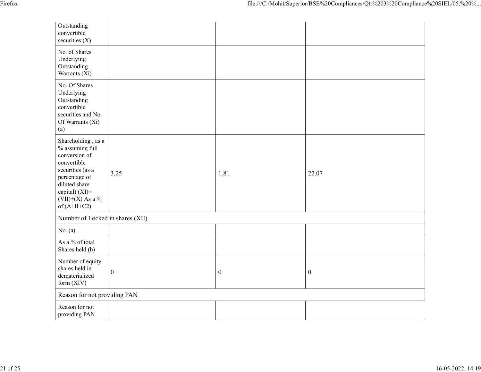| Firefox |                                                                                                                                                                                                  |                  |                  | file:///C:/Mohit/Superior/BSE%20Compliances/Qtr%203%20Compliance%20SIEL/05.%20% |
|---------|--------------------------------------------------------------------------------------------------------------------------------------------------------------------------------------------------|------------------|------------------|---------------------------------------------------------------------------------|
|         | Outstanding<br>convertible                                                                                                                                                                       |                  |                  |                                                                                 |
|         | securities (X)<br>No. of Shares<br>Underlying<br>Outstanding<br>Warrants (Xi)                                                                                                                    |                  |                  |                                                                                 |
|         | No. Of Shares<br>Underlying<br>Outstanding<br>convertible<br>securities and No.<br>Of Warrants (Xi)<br>(a)                                                                                       |                  |                  |                                                                                 |
|         | Shareholding , as a<br>% assuming full<br>conversion of<br>convertible<br>securities (as a<br>percentage of<br>diluted share<br>capital) (XI)=<br>$\overline{(VII)+(X)}$ As a %<br>of $(A+B+C2)$ | 3.25             | 1.81             | 22.07                                                                           |
|         | Number of Locked in shares (XII)                                                                                                                                                                 |                  |                  |                                                                                 |
|         | No. $(a)$                                                                                                                                                                                        |                  |                  |                                                                                 |
|         | As a $\%$ of total<br>Shares held (b)                                                                                                                                                            |                  |                  |                                                                                 |
|         | Number of equity<br>shares held in<br>dematerialized<br>form (XIV)                                                                                                                               | $\boldsymbol{0}$ | $\boldsymbol{0}$ | $\boldsymbol{0}$                                                                |
|         | Reason for not providing PAN                                                                                                                                                                     |                  |                  |                                                                                 |
|         | Reason for not<br>providing PAN                                                                                                                                                                  |                  |                  |                                                                                 |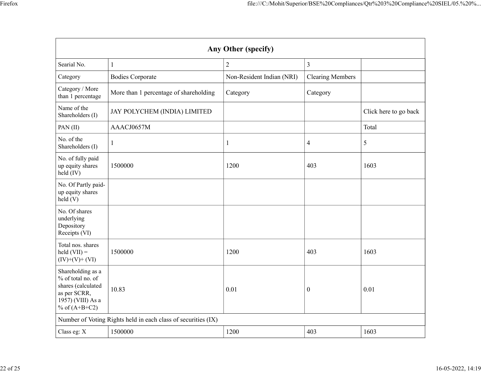|                                                                                                                      |                                                               |                           |                         | file:///C:/Mohit/Superior/BSE%20Compliances/Qtr%203%20Compliance%20SIEL/05.%20% |
|----------------------------------------------------------------------------------------------------------------------|---------------------------------------------------------------|---------------------------|-------------------------|---------------------------------------------------------------------------------|
|                                                                                                                      |                                                               |                           |                         |                                                                                 |
|                                                                                                                      |                                                               |                           |                         |                                                                                 |
|                                                                                                                      |                                                               | Any Other (specify)       |                         |                                                                                 |
| Searial No.                                                                                                          |                                                               | $\sqrt{2}$                | $\mathfrak{Z}$          |                                                                                 |
| Category                                                                                                             | <b>Bodies Corporate</b>                                       | Non-Resident Indian (NRI) | <b>Clearing Members</b> |                                                                                 |
| Category / More<br>than 1 percentage                                                                                 | More than 1 percentage of shareholding                        | Category                  | Category                |                                                                                 |
| Name of the<br>Shareholders (I)                                                                                      | JAY POLYCHEM (INDIA) LIMITED                                  |                           |                         | Click here to go back                                                           |
| PAN(II)                                                                                                              | AAACJ0657M                                                    |                           |                         | Total                                                                           |
| No. of the<br>Shareholders (I)                                                                                       |                                                               |                           | $\overline{4}$          | 5                                                                               |
| No. of fully paid<br>up equity shares<br>$\text{held} (IV)$                                                          | 1500000                                                       | 1200                      | 403                     | 1603                                                                            |
| No. Of Partly paid-<br>up equity shares<br>$\text{held}$ (V)                                                         |                                                               |                           |                         |                                                                                 |
| No. Of shares<br>underlying<br>Depository<br>Receipts (VI)                                                           |                                                               |                           |                         |                                                                                 |
| Total nos. shares<br>$\text{held (VII)} =$<br>$(IV)+(V)+(VI)$                                                        | 1500000                                                       | 1200                      | 403                     | 1603                                                                            |
| Shareholding as a<br>% of total no. of<br>shares (calculated<br>as per SCRR,<br>1957) (VIII) As a<br>% of $(A+B+C2)$ | 10.83                                                         | $0.01\,$                  | $\boldsymbol{0}$        | $0.01\,$                                                                        |
|                                                                                                                      | Number of Voting Rights held in each class of securities (IX) |                           |                         |                                                                                 |
| Class eg: X                                                                                                          | 1500000                                                       | 1200                      | 403                     | 1603                                                                            |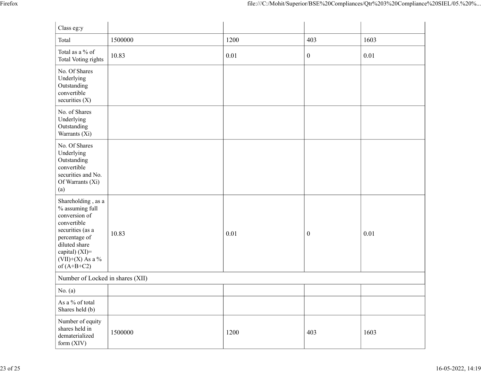|                                                                                                                                                                                           |         |      |                  | file:///C:/Mohit/Superior/BSE%20Compliances/Qtr%203%20Compliance%20SIEL/05.%20% |
|-------------------------------------------------------------------------------------------------------------------------------------------------------------------------------------------|---------|------|------------------|---------------------------------------------------------------------------------|
| Class eg:y                                                                                                                                                                                |         |      |                  |                                                                                 |
| Total                                                                                                                                                                                     | 1500000 | 1200 | 403              | 1603                                                                            |
| Total as a $\%$ of<br>Total Voting rights                                                                                                                                                 | 10.83   | 0.01 | $\overline{0}$   | 0.01                                                                            |
| No. Of Shares<br>Underlying<br>Outstanding<br>convertible<br>securities $(X)$                                                                                                             |         |      |                  |                                                                                 |
| No. of Shares<br>Underlying<br>Outstanding<br>Warrants $(X_i)$                                                                                                                            |         |      |                  |                                                                                 |
| No. Of Shares<br>Underlying<br>Outstanding<br>convertible<br>securities and No.<br>Of Warrants (Xi)<br>(a)                                                                                |         |      |                  |                                                                                 |
| Shareholding , as a<br>$\%$ assuming full<br>conversion of<br>convertible<br>securities (as a<br>percentage of<br>diluted share<br>capital) (XI)=<br>(VII)+(X) As a $\%$<br>of $(A+B+C2)$ | 10.83   | 0.01 | $\boldsymbol{0}$ | $0.01\,$                                                                        |
| Number of Locked in shares (XII)                                                                                                                                                          |         |      |                  |                                                                                 |
| No. $(a)$<br>As a % of total                                                                                                                                                              |         |      |                  |                                                                                 |
| Shares held (b)                                                                                                                                                                           |         |      |                  |                                                                                 |
| Number of equity<br>shares held in<br>dematerialized<br>form (XIV)                                                                                                                        | 1500000 | 1200 | 403              | 1603                                                                            |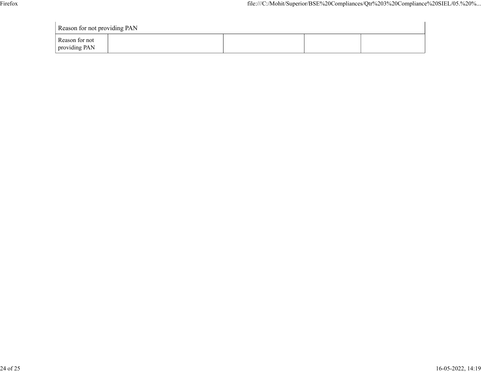| Firefox |                                 |  |  | file:///C:/Mohit/Superior/BSE%20Compliances/Qtr%203%20Compliance%20SIEL/05.%20% |  |  |
|---------|---------------------------------|--|--|---------------------------------------------------------------------------------|--|--|
|         |                                 |  |  |                                                                                 |  |  |
|         | Reason for not providing PAN    |  |  |                                                                                 |  |  |
|         | Reason for not<br>providing PAN |  |  |                                                                                 |  |  |